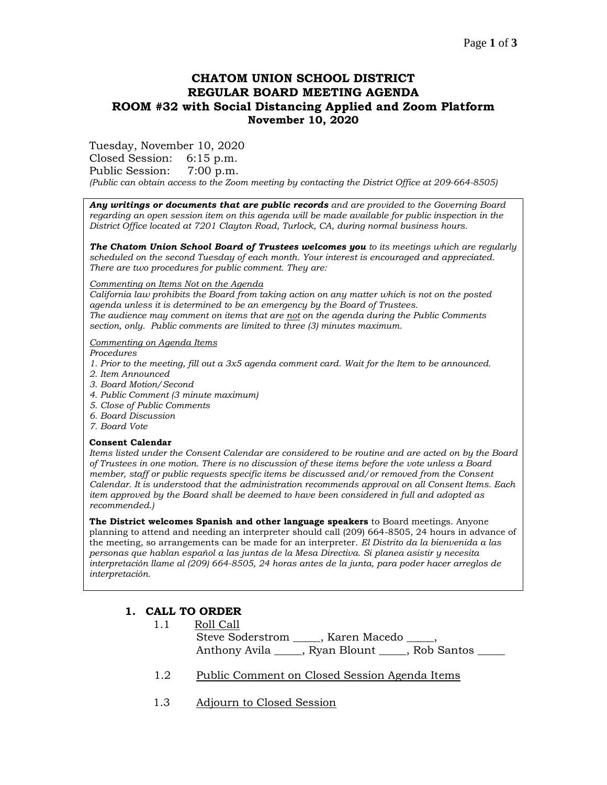## **CHATOM UNION SCHOOL DISTRICT REGULAR BOARD MEETING AGENDA ROOM #32 with Social Distancing Applied and Zoom Platform November 10, 2020**

Tuesday, November 10, 2020

Closed Session: 6:15 p.m.

Public Session: 7:00 p.m.

*(Public can obtain access to the Zoom meeting by contacting the District Office at 209-664-8505)*

*Any writings or documents that are public records and are provided to the Governing Board regarding an open session item on this agenda will be made available for public inspection in the District Office located at 7201 Clayton Road, Turlock, CA, during normal business hours.*

*The Chatom Union School Board of Trustees welcomes you to its meetings which are regularly scheduled on the second Tuesday of each month. Your interest is encouraged and appreciated. There are two procedures for public comment. They are:*

#### *Commenting on Items Not on the Agenda*

*California law prohibits the Board from taking action on any matter which is not on the posted agenda unless it is determined to be an emergency by the Board of Trustees. The audience may comment on items that are not on the agenda during the Public Comments section, only. Public comments are limited to three (3) minutes maximum.*

*Commenting on Agenda Items*

*Procedures* 

- *1. Prior to the meeting, fill out a 3x5 agenda comment card. Wait for the Item to be announced.*
- *2. Item Announced*
- *3. Board Motion/Second*
- *4. Public Comment (3 minute maximum)*
- *5. Close of Public Comments*
- *6. Board Discussion*
- *7. Board Vote*

#### **Consent Calendar**

*Items listed under the Consent Calendar are considered to be routine and are acted on by the Board of Trustees in one motion. There is no discussion of these items before the vote unless a Board member, staff or public requests specific items be discussed and/or removed from the Consent Calendar. It is understood that the administration recommends approval on all Consent Items. Each item approved by the Board shall be deemed to have been considered in full and adopted as recommended.)*

**The District welcomes Spanish and other language speakers** to Board meetings. Anyone planning to attend and needing an interpreter should call (209) 664-8505, 24 hours in advance of the meeting, so arrangements can be made for an interpreter. *El Distrito da la bienvenida a las personas que hablan español a las juntas de la Mesa Directiva. Si planea asistir y necesita interpretación llame al (209) 664-8505, 24 horas antes de la junta, para poder hacer arreglos de interpretación.*

# **1. CALL TO ORDER**

1.1 Roll Call

 Steve Soderstrom \_\_\_\_\_, Karen Macedo \_\_\_\_\_, Anthony Avila \_\_\_\_\_, Ryan Blount \_\_\_\_\_\_\_, Rob Santos

- 1.2 Public Comment on Closed Session Agenda Items
- 1.3 Adjourn to Closed Session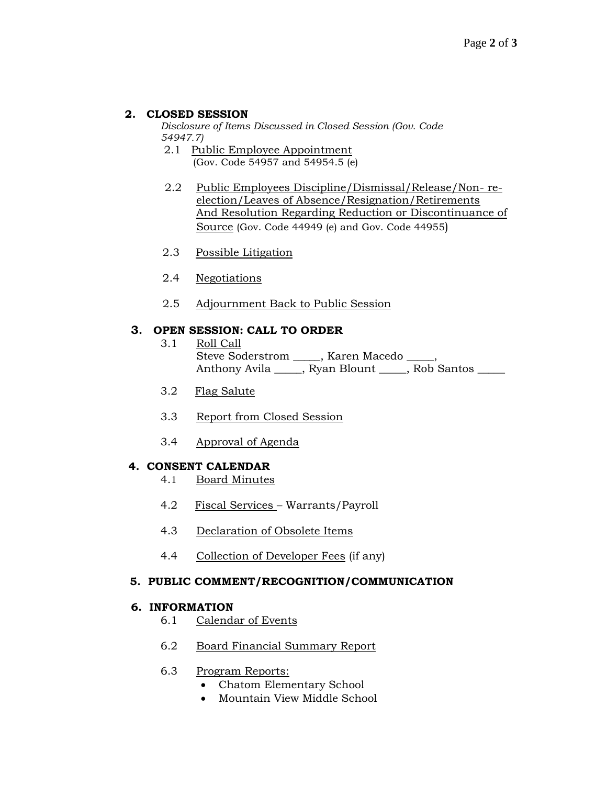## **2. CLOSED SESSION**

*Disclosure of Items Discussed in Closed Session (Gov. Code 54947.7)*

- 2.1 Public Employee Appointment (Gov. Code 54957 and 54954.5 (e)
- 2.2 Public Employees Discipline/Dismissal/Release/Non- reelection/Leaves of Absence/Resignation/Retirements And Resolution Regarding Reduction or Discontinuance of Source (Gov. Code 44949 (e) and Gov. Code 44955)
- 2.3 Possible Litigation
- 2.4 Negotiations
- 2.5 Adjournment Back to Public Session

#### **3. OPEN SESSION: CALL TO ORDER**

- 3.1 Roll Call Steve Soderstrom \_\_\_\_, Karen Macedo \_\_\_\_, Anthony Avila \_\_\_\_, Ryan Blount \_\_\_\_, Rob Santos \_\_\_\_
- 3.2 Flag Salute
- 3.3 Report from Closed Session
- 3.4 Approval of Agenda

## **4. CONSENT CALENDAR**

- 4.1 Board Minutes
- 4.2 Fiscal Services Warrants/Payroll
- 4.3 Declaration of Obsolete Items
- 4.4 Collection of Developer Fees (if any)

#### **5. PUBLIC COMMENT/RECOGNITION/COMMUNICATION**

#### **6. INFORMATION**

- 6.1 Calendar of Events
- 6.2 Board Financial Summary Report

## 6.3 Program Reports:

- Chatom Elementary School
- Mountain View Middle School